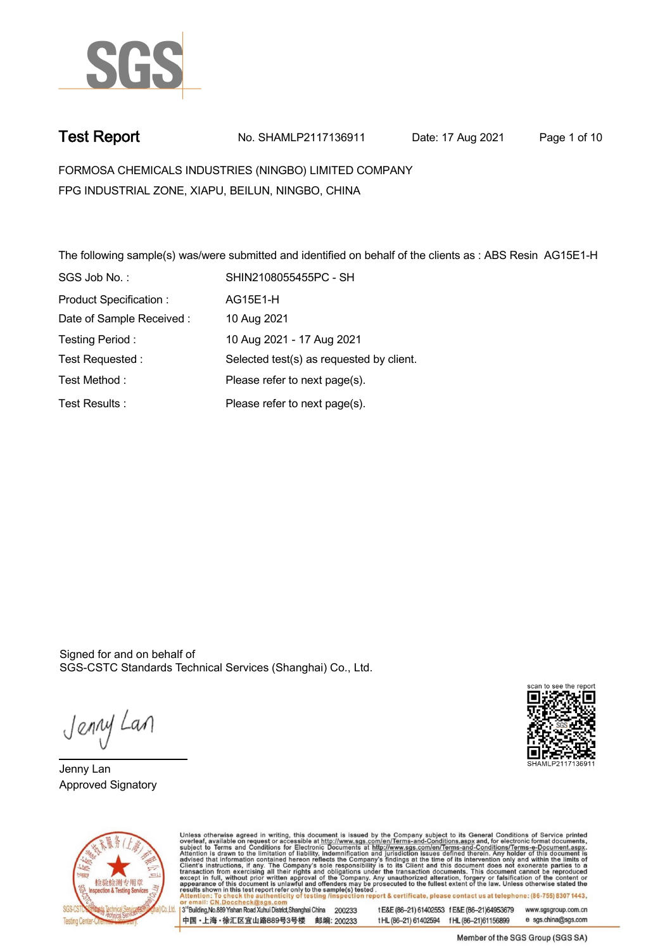

**Test Report. No. SHAMLP2117136911 Date: 17 Aug 2021. Page 1 of 10.**

**FORMOSA CHEMICALS INDUSTRIES (NINGBO) LIMITED COMPANY . FPG INDUSTRIAL ZONE, XIAPU, BEILUN, NINGBO, CHINA**

**The following sample(s) was/were submitted and identified on behalf of the clients as : ABS Resin AG15E1-H . SGS Job No. : SHIN2108055455PC - SH . Product Specification : . AG15E1-H. Date of Sample Received : . 10 Aug 2021. Testing Period :. 10 Aug 2021 - 17 Aug 2021 . Test Requested :. Selected test(s) as requested by client. . Please refer to next page(s). . Please refer to next page(s). . Test Method :. Test Results :.**

Signed for and on behalf of SGS-CSTC Standards Technical Services (Shanghai) Co., Ltd..

Jenny Lan

**Jenny Lan. Approved Signatory .**





Unless otherwise agreed in writing, this document is issued by the Company subject to its General Conditions of Service printed overleaf, available on request or accessible at http://www.sgs.com/en/Terms-and-Conditions.asp 3<sup>rd</sup> Building No.889 Yishan Road Xuhui District Shanghai China 200233

中国·上海·徐汇区宜山路889号3号楼 邮编: 200233

t E&E (86-21) 61402553 f E&E (86-21)64953679 www.sgsgroup.com.cn tHL (86-21) 61402594 fHL (86-21) 61156899 e sgs.china@sgs.com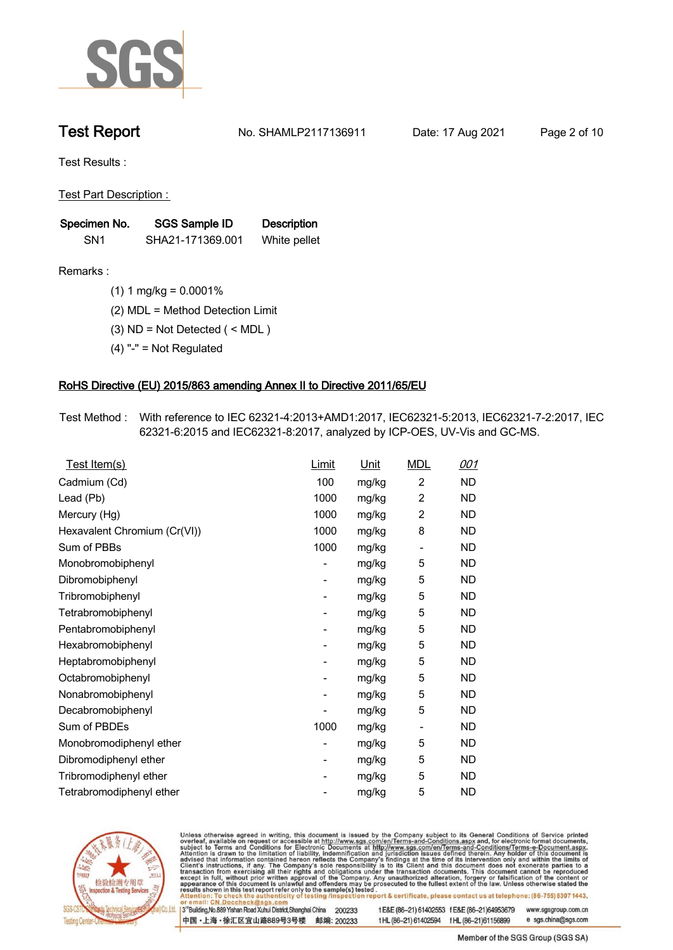

**Test Report. No. SHAMLP2117136911 Date: 17 Aug 2021. Page 2 of 10.**

**Test Results :.**

**Test Part Description : .**

| Specimen No.    | SGS Sample ID    | <b>Description</b> |
|-----------------|------------------|--------------------|
| SN <sub>1</sub> | SHA21-171369.001 | White pellet       |

- **Remarks :.(1) 1 mg/kg = 0.0001% .**
	- **(2) MDL = Method Detection Limit .**
	- **(3) ND = Not Detected ( < MDL ) .**
	- **(4) "-" = Not Regulated .**

## **RoHS Directive (EU) 2015/863 amending Annex II to Directive 2011/65/EU.**

**Test Method :. With reference to IEC 62321-4:2013+AMD1:2017, IEC62321-5:2013, IEC62321-7-2:2017, IEC 62321-6:2015 and IEC62321-8:2017, analyzed by ICP-OES, UV-Vis and GC-MS. .**

| Test Item(s)                 | Limit | <u>Unit</u> | <b>MDL</b>               | 001       |
|------------------------------|-------|-------------|--------------------------|-----------|
| Cadmium (Cd)                 | 100   | mg/kg       | $\overline{2}$           | ND        |
| Lead (Pb)                    | 1000  | mg/kg       | $\overline{2}$           | <b>ND</b> |
| Mercury (Hg)                 | 1000  | mg/kg       | $\overline{2}$           | <b>ND</b> |
| Hexavalent Chromium (Cr(VI)) | 1000  | mg/kg       | 8                        | <b>ND</b> |
| Sum of PBBs                  | 1000  | mg/kg       | $\overline{a}$           | ND        |
| Monobromobiphenyl            |       | mg/kg       | 5                        | ND.       |
| Dibromobiphenyl              | -     | mg/kg       | 5                        | ND.       |
| Tribromobiphenyl             |       | mg/kg       | 5                        | ND.       |
| Tetrabromobiphenyl           | -     | mg/kg       | 5                        | ND        |
| Pentabromobiphenyl           |       | mg/kg       | 5                        | <b>ND</b> |
| Hexabromobiphenyl            | -     | mg/kg       | 5                        | ND.       |
| Heptabromobiphenyl           |       | mg/kg       | 5                        | <b>ND</b> |
| Octabromobiphenyl            | -     | mg/kg       | 5                        | ND        |
| Nonabromobiphenyl            |       | mg/kg       | 5                        | ND.       |
| Decabromobiphenyl            |       | mg/kg       | 5                        | ND        |
| Sum of PBDEs                 | 1000  | mg/kg       | $\overline{\phantom{a}}$ | ND.       |
| Monobromodiphenyl ether      |       | mg/kg       | 5                        | ND        |
| Dibromodiphenyl ether        | -     | mg/kg       | 5                        | ND.       |
| Tribromodiphenyl ether       | -     | mg/kg       | 5                        | <b>ND</b> |
| Tetrabromodiphenyl ether     |       | mg/kg       | 5                        | <b>ND</b> |



Unless otherwise agreed in writing, this document is issued by the Company subject to its General Conditions of Service printed overleaf, available on request or accessible at http://www.sgs.com/en/Terms-and-Conditions.asp

3<sup>rd</sup> Building, No.889 Yishan Road Xuhui District, Shanghai China 200233 中国·上海·徐汇区宜山路889号3号楼 邮编: 200233 tE&E (86-21) 61402553 fE&E (86-21)64953679 www.sgsgroup.com.cn

t HL (86-21) 61402594 f HL (86-21) 61156899 e sgs.china@sgs.com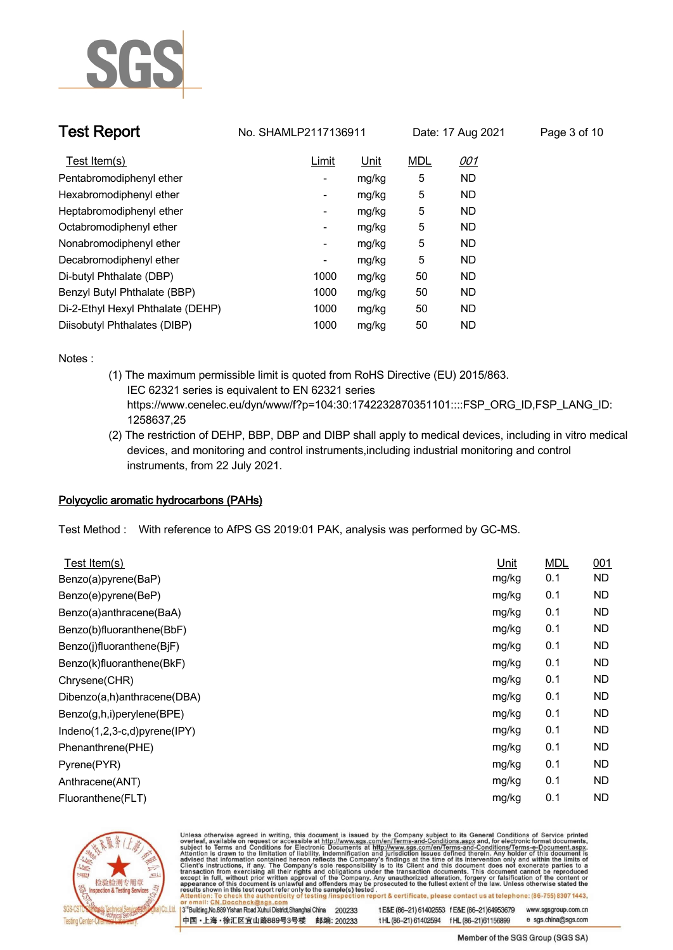

| Test Report                       | No. SHAMLP2117136911 |             | Date: 17 Aug 2021 |            | Page 3 of 10 |
|-----------------------------------|----------------------|-------------|-------------------|------------|--------------|
| Test Item(s)                      | Limit                | <u>Unit</u> | <b>MDL</b>        | <u>001</u> |              |
| Pentabromodiphenyl ether          |                      | mg/kg       | 5                 | <b>ND</b>  |              |
| Hexabromodiphenyl ether           | -                    | mg/kg       | 5                 | ND         |              |
| Heptabromodiphenyl ether          | Ξ.                   | mg/kg       | 5                 | <b>ND</b>  |              |
| Octabromodiphenyl ether           | Ξ.                   | mg/kg       | 5                 | ND         |              |
| Nonabromodiphenyl ether           | -                    | mg/kg       | 5                 | <b>ND</b>  |              |
| Decabromodiphenyl ether           | ٠                    | mg/kg       | 5                 | <b>ND</b>  |              |
| Di-butyl Phthalate (DBP)          | 1000                 | mg/kg       | 50                | <b>ND</b>  |              |
| Benzyl Butyl Phthalate (BBP)      | 1000                 | mg/kg       | 50                | <b>ND</b>  |              |
| Di-2-Ethyl Hexyl Phthalate (DEHP) | 1000                 | mg/kg       | 50                | <b>ND</b>  |              |
| Diisobutyl Phthalates (DIBP)      | 1000                 | mg/kg       | 50                | <b>ND</b>  |              |

**Notes :.**

- **(1) The maximum permissible limit is quoted from RoHS Directive (EU) 2015/863. IEC 62321 series is equivalent to EN 62321 series https://www.cenelec.eu/dyn/www/f?p=104:30:1742232870351101::::FSP\_ORG\_ID,FSP\_LANG\_ID: 1258637,25**
- **(2) The restriction of DEHP, BBP, DBP and DIBP shall apply to medical devices, including in vitro medical devices, and monitoring and control instruments,including industrial monitoring and control instruments, from 22 July 2021. .**

## **Polycyclic aromatic hydrocarbons (PAHs).**

**Test Method :. With reference to AfPS GS 2019:01 PAK, analysis was performed by GC-MS. .**

| Test Item(s)                 | Unit  | <b>MDL</b> | 001       |
|------------------------------|-------|------------|-----------|
| Benzo(a)pyrene(BaP)          | mg/kg | 0.1        | <b>ND</b> |
| Benzo(e)pyrene(BeP)          | mg/kg | 0.1        | <b>ND</b> |
| Benzo(a)anthracene(BaA)      | mg/kg | 0.1        | <b>ND</b> |
| Benzo(b)fluoranthene(BbF)    | mg/kg | 0.1        | ND.       |
| Benzo(j)fluoranthene(BjF)    | mg/kg | 0.1        | <b>ND</b> |
| Benzo(k)fluoranthene(BkF)    | mg/kg | 0.1        | <b>ND</b> |
| Chrysene(CHR)                | mg/kg | 0.1        | <b>ND</b> |
| Dibenzo(a,h)anthracene(DBA)  | mg/kg | 0.1        | <b>ND</b> |
| Benzo(g,h,i)perylene(BPE)    | mg/kg | 0.1        | <b>ND</b> |
| Indeno(1,2,3-c,d)pyrene(IPY) | mg/kg | 0.1        | ND.       |
| Phenanthrene(PHE)            | mg/kg | 0.1        | ND.       |
| Pyrene(PYR)                  | mg/kg | 0.1        | <b>ND</b> |
| Anthracene(ANT)              | mg/kg | 0.1        | <b>ND</b> |
| Fluoranthene(FLT)            | mg/kg | 0.1        | <b>ND</b> |
|                              |       |            |           |



Unless otherwise agreed in writing, this document is issued by the Company subject to its General Conditions of Service printed overleaf, available on request or accessible at http://www.sgs.com/en/Terms-and-Conditions.asp

3<sup>14</sup> Building, No.889 Yishan Road Xuhui District, Shanghai China 200233 中国·上海·徐汇区宜山路889号3号楼 邮编: 200233 tE&E (86-21) 61402553 fE&E (86-21)64953679 www.sgsgroup.com.cn

t HL (86-21) 61402594 f HL (86-21) 61156899 e sgs.china@sgs.com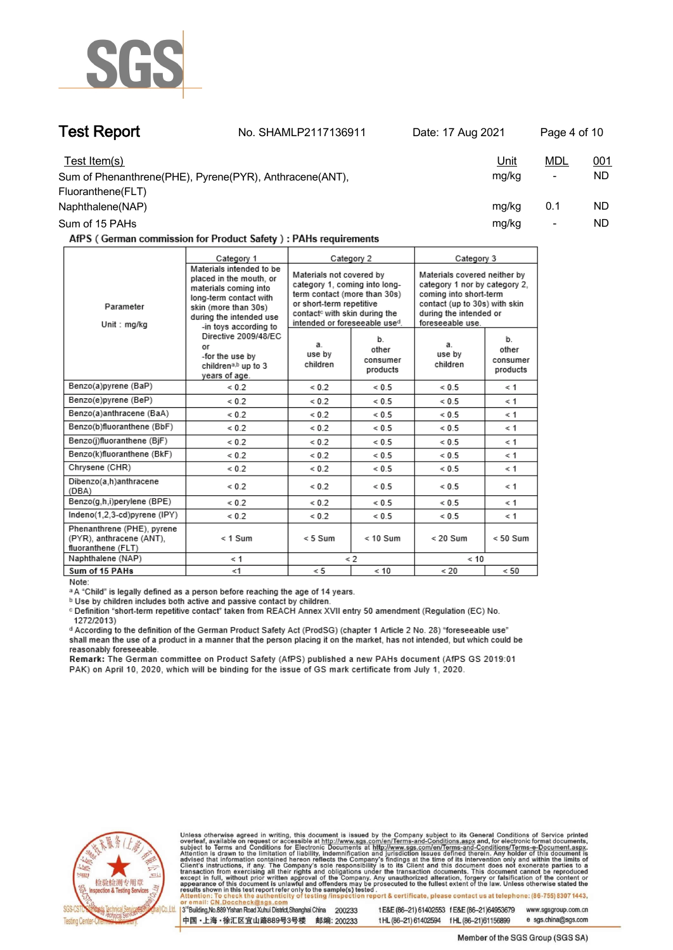

**Test Report. No. SHAMLP2117136911 Date: 17 Aug 2021. Page 4 of 10.**

| Test Item(s)                                            | <u>Unit</u> | <u>MDL</u>               | 001 |
|---------------------------------------------------------|-------------|--------------------------|-----|
| Sum of Phenanthrene(PHE), Pyrene(PYR), Anthracene(ANT), | ma/ka       | $\overline{\phantom{a}}$ | ND  |
| Fluoranthene(FLT)                                       |             |                          |     |
| Naphthalene(NAP)                                        | mg/kg       | 0.1                      | ND  |
| Sum of 15 PAHs                                          | mg/kg       | $\overline{\phantom{a}}$ | ND  |

AfPS (German commission for Product Safety): PAHs requirements

|                                                                              | Category 1                                                                                                                                                                                                                                                                              |                                                                                                                                                                                                     | Category 2                          | Category 3                                                                                                                                                             |                                     |
|------------------------------------------------------------------------------|-----------------------------------------------------------------------------------------------------------------------------------------------------------------------------------------------------------------------------------------------------------------------------------------|-----------------------------------------------------------------------------------------------------------------------------------------------------------------------------------------------------|-------------------------------------|------------------------------------------------------------------------------------------------------------------------------------------------------------------------|-------------------------------------|
| Parameter<br>Unit : mg/kg                                                    | Materials intended to be<br>placed in the mouth, or<br>materials coming into<br>long-term contact with<br>skin (more than 30s)<br>during the intended use<br>-in toys according to<br>Directive 2009/48/EC<br>or<br>-for the use by<br>children <sup>a,b</sup> up to 3<br>years of age. | Materials not covered by<br>category 1, coming into long-<br>term contact (more than 30s)<br>or short-term repetitive<br>contact <sup>c</sup> with skin during the<br>intended or foreseeable used. |                                     | Materials covered neither by<br>category 1 nor by category 2.<br>coming into short-term<br>contact (up to 30s) with skin<br>during the intended or<br>foreseeable use. |                                     |
|                                                                              |                                                                                                                                                                                                                                                                                         | a.<br>use by<br>children                                                                                                                                                                            | b.<br>other<br>consumer<br>products | a.<br>use by<br>children                                                                                                                                               | b.<br>other<br>consumer<br>products |
| Benzo(a)pyrene (BaP)                                                         | ${}< 0.2$                                                                                                                                                                                                                                                                               | ${}_{0.2}$                                                                                                                                                                                          | ${}< 0.5$                           | ${}< 0.5$                                                                                                                                                              | $\leq 1$                            |
| Benzo(e)pyrene (BeP)                                                         | ${}_{0.2}$                                                                                                                                                                                                                                                                              | ${}_{0.2}$                                                                                                                                                                                          | ${}< 0.5$                           | ${}< 0.5$                                                                                                                                                              | $\leq 1$                            |
| Benzo(a)anthracene (BaA)                                                     | ${}_{0.2}$                                                                                                                                                                                                                                                                              | ${}_{0.2}$                                                                                                                                                                                          | ${}< 0.5$                           | ${}< 0.5$                                                                                                                                                              | < 1                                 |
| Benzo(b)fluoranthene (BbF)                                                   | ${}_{0.2}$                                                                                                                                                                                                                                                                              | ${}_{0.2}$                                                                                                                                                                                          | ${}< 0.5$                           | ${}< 0.5$                                                                                                                                                              | < 1                                 |
| Benzo(j)fluoranthene (BjF)                                                   | ${}_{0.2}$                                                                                                                                                                                                                                                                              | ${}_{0.2}$                                                                                                                                                                                          | ${}< 0.5$                           | ${}< 0.5$                                                                                                                                                              | < 1                                 |
| Benzo(k)fluoranthene (BkF)                                                   | ${}_{0.2}$                                                                                                                                                                                                                                                                              | ${}_{0.2}$                                                                                                                                                                                          | ${}_{0.5}$                          | ${}< 0.5$                                                                                                                                                              | $\leq 1$                            |
| Chrysene (CHR)                                                               | ${}< 0.2$                                                                                                                                                                                                                                                                               | ${}_{0.2}$                                                                                                                                                                                          | ${}< 0.5$                           | ${}< 0.5$                                                                                                                                                              | $\leq 1$                            |
| Dibenzo(a,h)anthracene<br>(DBA)                                              | ${}< 0.2$                                                                                                                                                                                                                                                                               | ${}< 0.2$                                                                                                                                                                                           | ${}< 0.5$                           | ${}< 0.5$                                                                                                                                                              | < 1                                 |
| Benzo(g,h,i)perylene (BPE)                                                   | ${}_{0.2}$                                                                                                                                                                                                                                                                              | ${}< 0.2$                                                                                                                                                                                           | ${}< 0.5$                           | ${}< 0.5$                                                                                                                                                              | $\leq 1$                            |
| Indeno(1,2,3-cd)pyrene (IPY)                                                 | ${}< 0.2$                                                                                                                                                                                                                                                                               | ${}_{0.2}$                                                                                                                                                                                          | ${}_{0.5}$                          | ${}< 0.5$                                                                                                                                                              | $\leq 1$                            |
| Phenanthrene (PHE), pyrene<br>(PYR), anthracene (ANT),<br>fluoranthene (FLT) | $< 1$ Sum                                                                                                                                                                                                                                                                               | $< 5$ Sum                                                                                                                                                                                           | $< 10$ Sum                          | $< 20$ Sum                                                                                                                                                             | $< 50$ Sum                          |
| Naphthalene (NAP)                                                            | $\leq 1$                                                                                                                                                                                                                                                                                | $\leq$ 2                                                                                                                                                                                            |                                     | < 10                                                                                                                                                                   |                                     |
| Sum of 15 PAHs                                                               | < 1                                                                                                                                                                                                                                                                                     | < 5                                                                                                                                                                                                 | < 10                                | < 20                                                                                                                                                                   | < 50                                |

Note:

<sup>a</sup> A "Child" is legally defined as a person before reaching the age of 14 years.

b Use by children includes both active and passive contact by children.

c Definition "short-term repetitive contact" taken from REACH Annex XVII entry 50 amendment (Regulation (EC) No. 1272/2013)

d According to the definition of the German Product Safety Act (ProdSG) (chapter 1 Article 2 No. 28) "foreseeable use" shall mean the use of a product in a manner that the person placing it on the market, has not intended, but which could be reasonably foreseeable.

Remark: The German committee on Product Safety (AfPS) published a new PAHs document (AfPS GS 2019:01 PAK) on April 10, 2020, which will be binding for the issue of GS mark certificate from July 1, 2020.



Unless otherwise agreed in writing, this document is issued by the Company subject to its General Conditions of Service printed overleaf, available on request or accessible at http://www.sgs.com/en/Terms-and-Conditions.asp

3<sup>rd</sup> Building, No.889 Yishan Road Xuhui District, Shanghai China 200233 中国·上海·徐汇区宜山路889号3号楼 邮编: 200233 tE&E (86-21) 61402553 fE&E (86-21)64953679 www.sgsgroup.com.cn

t HL (86-21) 61402594 f HL (86-21) 61156899 e sgs.china@sgs.com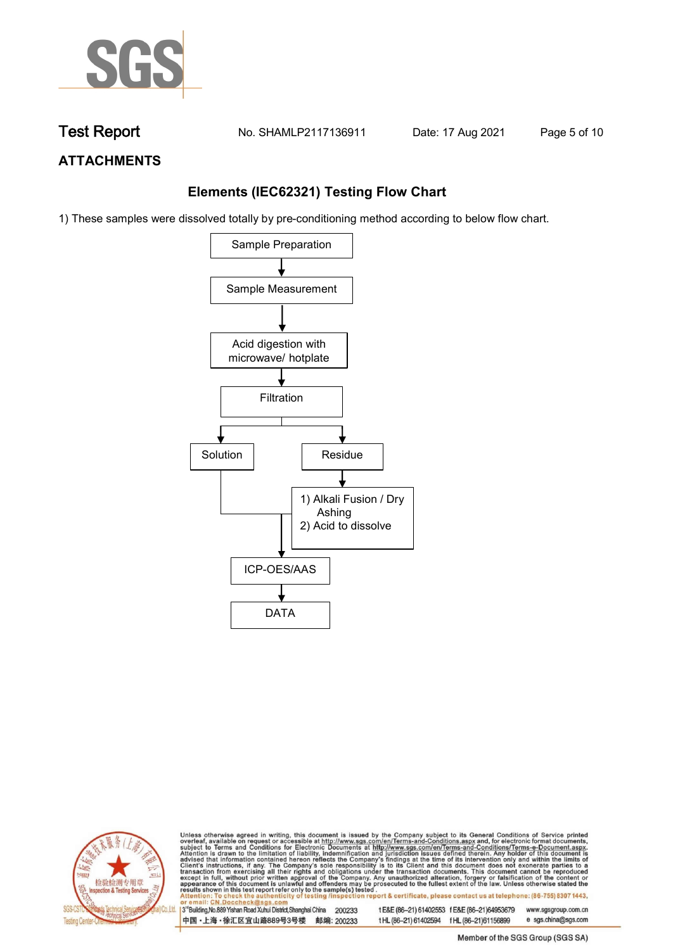

**Test Report. No. SHAMLP2117136911 Date: 17 Aug 2021. Page 5 of 10.**

## **ATTACHMENTS**

## **Elements (IEC62321) Testing Flow Chart**

1) These samples were dissolved totally by pre-conditioning method according to below flow chart.





Unless otherwise agreed in writing, this document is issued by the Company subject to its General Conditions of Service printed overleaf, available on request or accessible at http://www.sgs.com/en/Terms-and-Conditions.asp

13<sup>rd</sup> Building, No.889 Yishan Road Xuhui District, Shanghai China 200233 中国·上海·徐汇区宜山路889号3号楼 邮编: 200233 tE&E (86-21) 61402553 fE&E (86-21)64953679 www.sgsgroup.com.cn e sgs.china@sgs.com t HL (86-21) 61402594 f HL (86-21) 61156899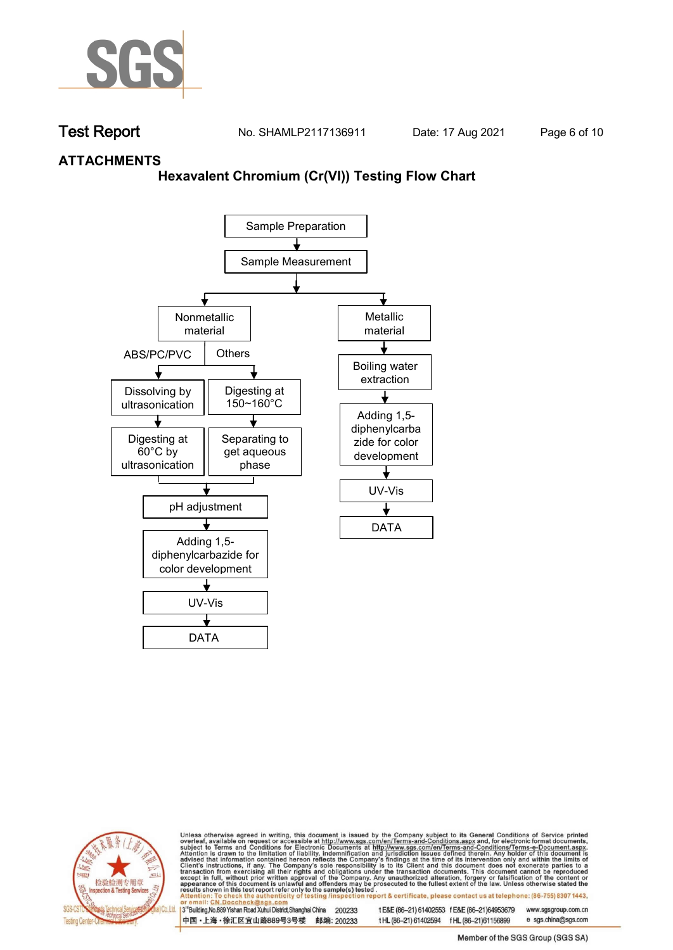

**Test Report. No. SHAMLP2117136911 Date: 17 Aug 2021. Page 6 of 10.**

## **ATTACHMENTS**

## **Hexavalent Chromium (Cr(VI)) Testing Flow Chart**





Unless otherwise agreed in writing, this document is issued by the Company subject to its General Conditions of Service printed overleaf, available on request or accessible at http://www.sgs.com/en/Terms-and-Conditions.asp

3<sup>rd</sup> Building, No.889 Yishan Road Xuhui District, Shanghai China 200233 中国·上海·徐汇区宜山路889号3号楼 邮编: 200233 tE&E (86-21) 61402553 fE&E (86-21)64953679 www.sgsgroup.com.cn

t HL (86-21) 61402594 f HL (86-21)61156899 e sgs.china@sgs.com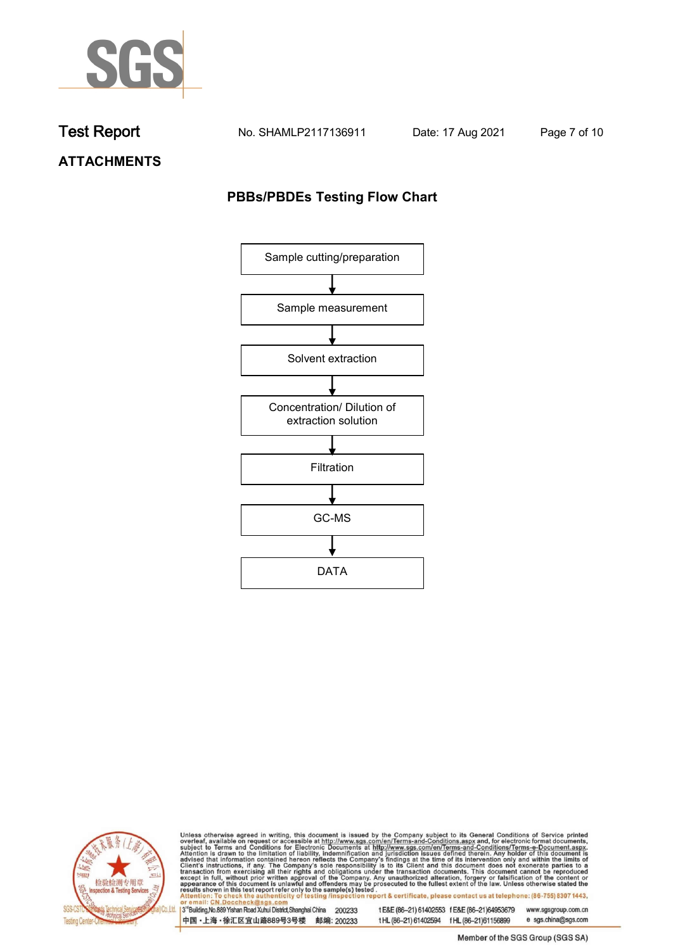

**Test Report. No. SHAMLP2117136911 Date: 17 Aug 2021. Page 7 of 10.**

**ATTACHMENTS**

## **PBBs/PBDEs Testing Flow Chart**





Unless otherwise agreed in writing, this document is issued by the Company subject to its General Conditions of Service printed overleaf, available on request or accessible at http://www.sgs.com/en/Terms-and-Conditions.asp

3<sup>'</sup>Building, No.889 Yishan Road Xuhui District, Shanghai China 200233 中国·上海·徐汇区宜山路889号3号楼 邮编: 200233

tE&E (86-21) 61402553 fE&E (86-21)64953679 www.sgsgroup.com.cn

e sgs.china@sgs.com t HL (86-21) 61402594 f HL (86-21) 61156899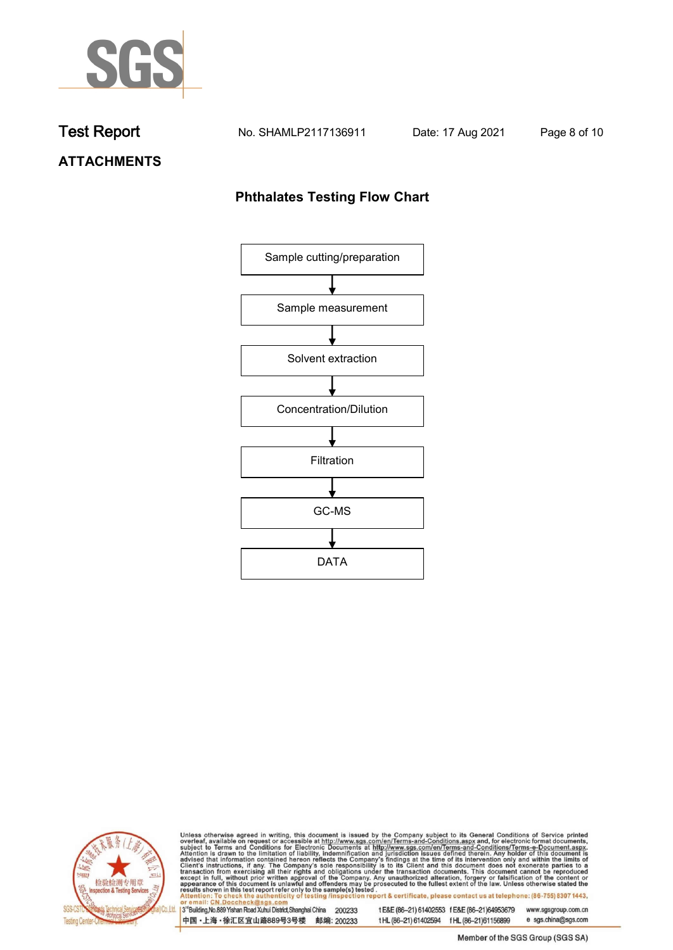

**Test Report. No. SHAMLP2117136911 Date: 17 Aug 2021. Page 8 of 10.**

# **ATTACHMENTS**

## **Phthalates Testing Flow Chart**





Unless otherwise agreed in writing, this document is issued by the Company subject to its General Conditions of Service printed overleaf, available on request or accessible at http://www.sgs.com/en/Terms-and-Conditions.asp

3<sup>'</sup>Building, No.889 Yishan Road Xuhui District, Shanghai China 200233 中国·上海·徐汇区宜山路889号3号楼 邮编: 200233

tE&E (86-21) 61402553 fE&E (86-21)64953679 www.sgsgroup.com.cn

e sgs.china@sgs.com t HL (86-21) 61402594 f HL (86-21) 61156899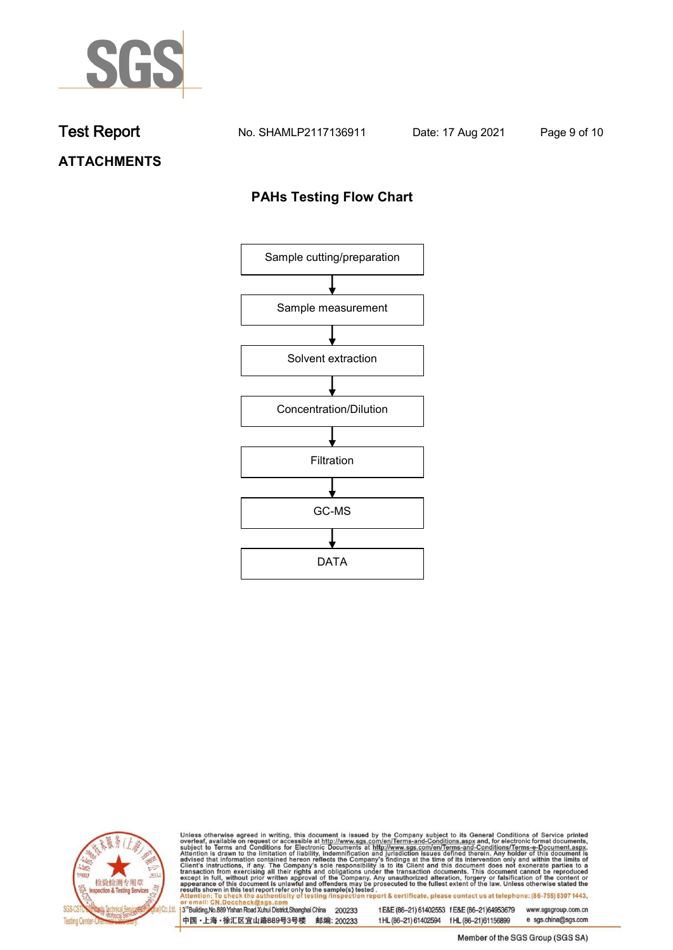

**Test Report. No. SHAMLP2117136911 Date: 17 Aug 2021. Page 9 of 10.**

# **ATTACHMENTS**

## **PAHs Testing Flow Chart**





Unless otherwise agreed in writing, this document is issued by the Company subject to its General Conditions of Service printed overleaf, available on request or accessible at http://www.sgs.com/en/Terms-and-Conditions.asp

3<sup>'</sup>Building, No.889 Yishan Road Xuhui District, Shanghai China 200233 中国·上海·徐汇区宜山路889号3号楼 邮编: 200233

tE&E (86-21) 61402553 fE&E (86-21)64953679 www.sgsgroup.com.cn

e sgs.china@sgs.com t HL (86-21) 61402594 f HL (86-21) 61156899